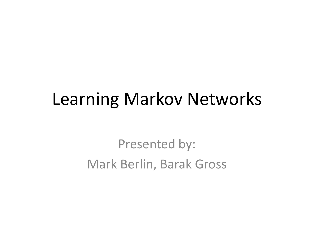#### Learning Markov Networks

Presented by: Mark Berlin, Barak Gross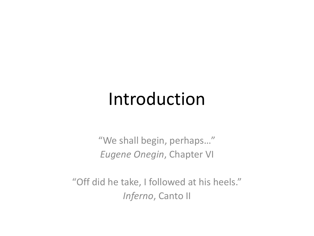#### Introduction

"We shall begin, perhaps..." *Eugene Onegin*, Chapter VI

"Off did he take, I followed at his heels." *Inferno*, Canto II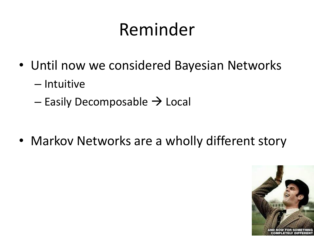# Reminder

- Until now we considered Bayesian Networks
	- Intuitive
	- $-$  Easily Decomposable  $\rightarrow$  Local

• Markov Networks are a wholly different story

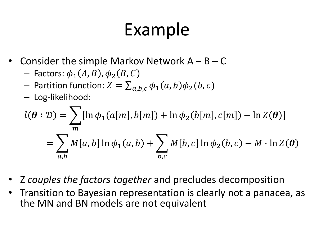# Example

- Consider the simple Markov Network  $A B C$ 
	- Factors:  $\phi_1(A, B)$ ,  $\phi_2(B, C)$
	- Partition function:  $Z = \sum_{a,b,c} \phi_1(a,b) \phi_2(b,c)$
	- Log-likelihood:

$$
l(\boldsymbol{\theta} : \mathcal{D}) = \sum_{m} [\ln \phi_1(a[m], b[m]) + \ln \phi_2(b[m], c[m]) - \ln Z(\boldsymbol{\theta})]
$$
  
= 
$$
\sum_{a,b} M[a, b] \ln \phi_1(a, b) + \sum_{b,c} M[b, c] \ln \phi_2(b, c) - M \cdot \ln Z(\boldsymbol{\theta})
$$

- Z *couples the factors together* and precludes decomposition
- Transition to Bayesian representation is clearly not a panacea, as the MN and BN models are not equivalent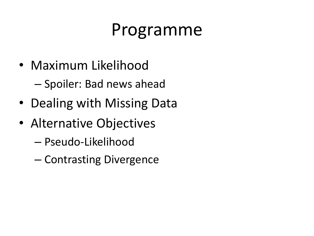## Programme

• Maximum Likelihood

– Spoiler: Bad news ahead

- Dealing with Missing Data
- Alternative Objectives
	- Pseudo-Likelihood
	- Contrasting Divergence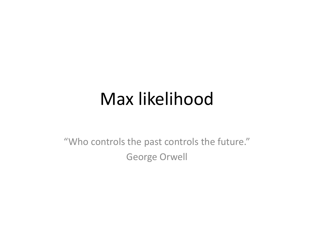#### Max likelihood

"Who controls the past controls the future." George Orwell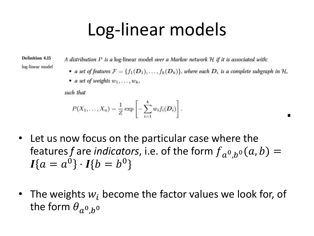## Log-linear models

**Definition 4.15** log-linear model A distribution P is a log-linear model over a Markov network H if it is associated with:

• a set of features  $\mathcal{F} = \{f_1(\mathbf{D}_1), \ldots, f_k(\mathbf{D}_k)\}\$ , where each  $\mathbf{D}_i$  is a complete subgraph in H,

.

• a set of weights  $w_1, \ldots, w_k$ ,

such that

$$
P(X_1,\ldots,X_n)=\frac{1}{Z}\exp\left[-\sum_{i=1}^k w_i f_i(\boldsymbol{D}_i)\right].
$$

- Let us now focus on the particular case where the features *f* are *indicators*, i.e. of the form  $f_{a^0,b^0}(a,b) =$  $I{a = a^0} \cdot I{b = b^0}$
- The weights  $w_i$  become the factor values we look for, of the form  $\theta_{a^0,b^0}$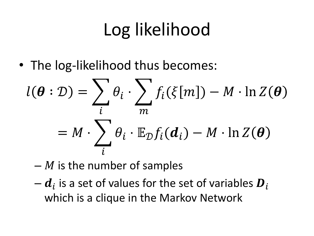# Log likelihood

• The log-likelihood thus becomes:

$$
l(\boldsymbol{\theta} : \mathcal{D}) = \sum_{i} \theta_{i} \cdot \sum_{m} f_{i}(\xi[m]) - M \cdot \ln Z(\boldsymbol{\theta})
$$

$$
= M \cdot \sum_{i} \theta_{i} \cdot \mathbb{E}_{\mathcal{D}} f_{i}(\boldsymbol{d}_{i}) - M \cdot \ln Z(\boldsymbol{\theta})
$$

- $-M$  is the number of samples
- $\boldsymbol{d}_{i}$  is a set of values for the set of variables  $\boldsymbol{D}_{i}$ which is a clique in the Markov Network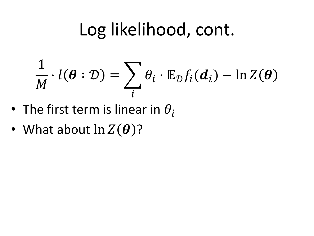# Log likelihood, cont.

$$
\frac{1}{M} \cdot l(\boldsymbol{\theta} : \mathcal{D}) = \sum_{i} \theta_i \cdot \mathbb{E}_{\mathcal{D}} f_i(\boldsymbol{d}_i) - \ln Z(\boldsymbol{\theta})
$$

- The first term is linear in  $\theta_i$
- What about  $\ln Z(\boldsymbol{\theta})$ ?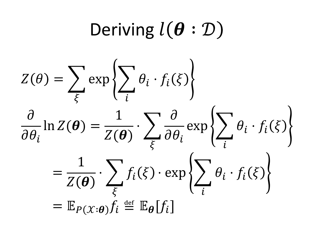# Deriving  $l(\boldsymbol{\theta} : \mathcal{D})$

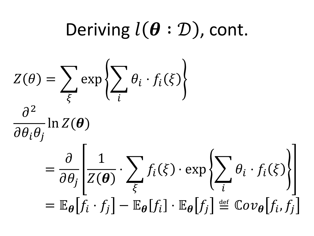Deriving 
$$
l(\theta : \mathcal{D})
$$
, cont.  
\n
$$
Z(\theta) = \sum_{\xi} \exp \left\{ \sum_{i} \theta_{i} \cdot f_{i}(\xi) \right\}
$$
\n
$$
\frac{\partial^{2}}{\partial \theta_{i} \theta_{j}} \ln Z(\theta)
$$
\n
$$
= \frac{\partial}{\partial \theta_{j}} \left[ \frac{1}{Z(\theta)} \cdot \sum_{\xi} f_{i}(\xi) \cdot \exp \left\{ \sum_{i} \theta_{i} \cdot f_{i}(\xi) \right\} \right]
$$
\n
$$
= \mathbb{E}_{\theta} [f_{i} \cdot f_{j}] - \mathbb{E}_{\theta} [f_{i}] \cdot \mathbb{E}_{\theta} [f_{j}] \stackrel{\text{def}}{=} \mathbb{C}ov_{\theta} [f_{i}, f_{j}]
$$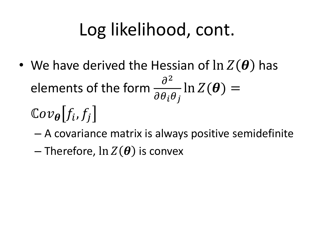# Log likelihood, cont.

- We have derived the Hessian of  $\ln Z(\theta)$  has elements of the form  $\frac{\partial^2}{\partial x^2}$  $\partial \theta_i \theta_j$  $\ln Z(\boldsymbol{\theta}) =$  $\mathbb{C}ov_{\boldsymbol{\theta}}[f_i,f_j]$ 
	- A covariance matrix is always positive semidefinite
	- Therefore,  $\ln Z(\boldsymbol{\theta})$  is convex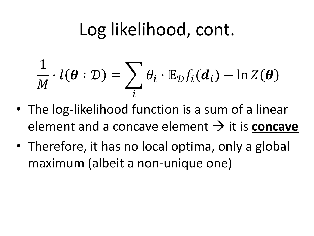# Log likelihood, cont.

$$
\frac{1}{M} \cdot l(\boldsymbol{\theta} : \mathcal{D}) = \sum_{i} \theta_i \cdot \mathbb{E}_{\mathcal{D}} f_i(\boldsymbol{d}_i) - \ln Z(\boldsymbol{\theta})
$$

- The log-likelihood function is a sum of a linear element and a concave element  $\rightarrow$  it is **concave**
- Therefore, it has no local optima, only a global maximum (albeit a non-unique one)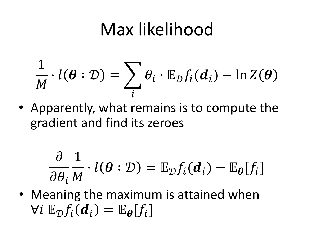# Max likelihood

$$
\frac{1}{M} \cdot l(\boldsymbol{\theta} : \mathcal{D}) = \sum_{i} \theta_i \cdot \mathbb{E}_{\mathcal{D}} f_i(\boldsymbol{d}_i) - \ln Z(\boldsymbol{\theta})
$$

• Apparently, what remains is to compute the gradient and find its zeroes

$$
\frac{\partial}{\partial \theta_i} \frac{1}{M} \cdot l(\boldsymbol{\theta} : \mathcal{D}) = \mathbb{E}_{\mathcal{D}} f_i(\boldsymbol{d}_i) - \mathbb{E}_{\boldsymbol{\theta}}[f_i]
$$

• Meaning the maximum is attained when  $\forall i \ \mathbb{E}_{\mathcal{D}} f_i(\boldsymbol{d}_i) = \mathbb{E}_{\boldsymbol{\theta}}[f_i]$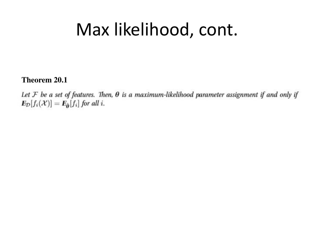# Max likelihood, cont.

**Theorem 20.1** 

Let  $F$  be a set of features. Then,  $\theta$  is a maximum-likelihood parameter assignment if and only if  $E_{\mathcal{D}}[f_i(\mathcal{X})] = E_{\hat{\theta}}[f_i]$  for all i.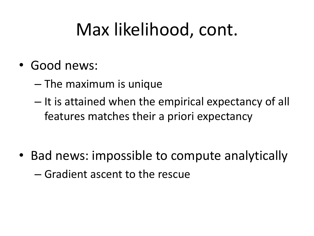# Max likelihood, cont.

- Good news:
	- The maximum is unique
	- It is attained when the empirical expectancy of all features matches their a priori expectancy

• Bad news: impossible to compute analytically – Gradient ascent to the rescue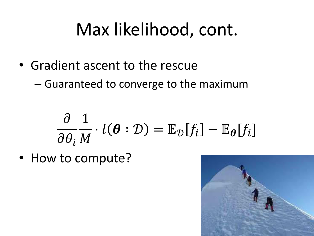# Max likelihood, cont.

- Gradient ascent to the rescue
	- Guaranteed to converge to the maximum

$$
\frac{\partial}{\partial \theta_i} \frac{1}{M} \cdot l(\boldsymbol{\theta} : \mathcal{D}) = \mathbb{E}_{\mathcal{D}}[f_i] - \mathbb{E}_{\boldsymbol{\theta}}[f_i]
$$

• How to compute?

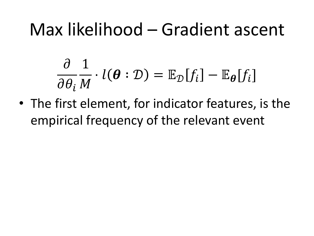## Max likelihood – Gradient ascent

$$
\frac{\partial}{\partial \theta_i} \frac{1}{M} \cdot l(\boldsymbol{\theta} : \mathcal{D}) = \mathbb{E}_{\mathcal{D}}[f_i] - \mathbb{E}_{\boldsymbol{\theta}}[f_i]
$$

• The first element, for indicator features, is the empirical frequency of the relevant event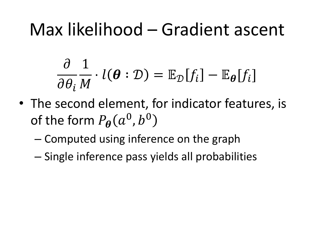## Max likelihood – Gradient ascent

$$
\frac{\partial}{\partial \theta_i} \frac{1}{M} \cdot l(\boldsymbol{\theta} : \mathcal{D}) = \mathbb{E}_{\mathcal{D}}[f_i] - \mathbb{E}_{\boldsymbol{\theta}}[f_i]
$$

- The second element, for indicator features, is of the form  $P_{\boldsymbol{\theta}}(a^0,b^0)$ 
	- Computed using inference on the graph
	- Single inference pass yields all probabilities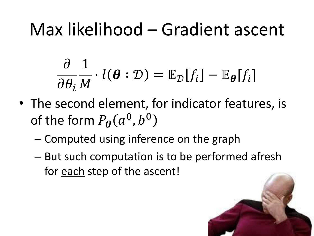# Max likelihood – Gradient ascent

$$
\frac{\partial}{\partial \theta_i} \frac{1}{M} \cdot l(\boldsymbol{\theta} : \mathcal{D}) = \mathbb{E}_{\mathcal{D}}[f_i] - \mathbb{E}_{\boldsymbol{\theta}}[f_i]
$$

- The second element, for indicator features, is of the form  $P_{\boldsymbol{\theta}}(a^0,b^0)$ 
	- Computed using inference on the graph
	- But such computation is to be performed afresh for each step of the ascent!

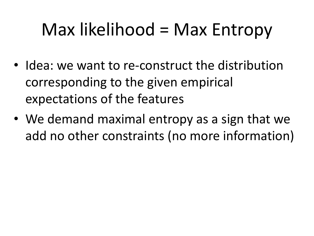# Max likelihood = Max Entropy

- Idea: we want to re-construct the distribution corresponding to the given empirical expectations of the features
- We demand maximal entropy as a sign that we add no other constraints (no more information)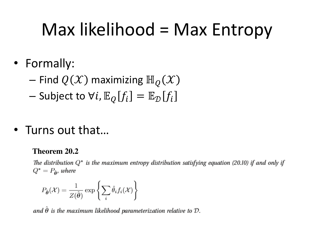# Max likelihood = Max Entropy

- Formally:
	- Find  $Q(X)$  maximizing  $\mathbb{H}_Q(X)$
	- Subject to  $\forall i$ ,  $\mathbb{E}_{\mathcal{O}}[f_i] = \mathbb{E}_{\mathcal{D}}[f_i]$
- Turns out that...

#### **Theorem 20.2**

The distribution  $Q^*$  is the maximum entropy distribution satisfying equation (20.10) if and only if  $Q^* = P_{\hat{\mathbf{p}}}$ , where

$$
P_{\hat{\boldsymbol{\theta}}}(\mathcal{X}) = \frac{1}{Z(\hat{\boldsymbol{\theta}})} \exp \left\{ \sum_{i} \hat{\theta}_{i} f_{i}(\mathcal{X}) \right\}
$$

and  $\hat{\theta}$  is the maximum likelihood parameterization relative to  $\mathcal{D}$ .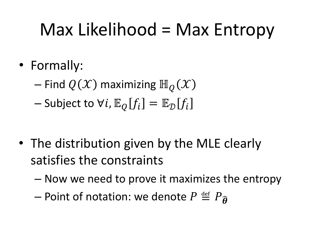# Max Likelihood = Max Entropy

- Formally:
	- Find  $Q(\mathcal{X})$  maximizing  $\mathbb{H}_Q(\mathcal{X})$
	- Subject to  $\forall i$ ,  $\mathbb{E}_{\mathcal{O}}[f_i] = \mathbb{E}_{\mathcal{D}}[f_i]$

- The distribution given by the MLE clearly satisfies the constraints
	- Now we need to prove it maximizes the entropy
	- Point of notation: we denote  $P \stackrel{\text{def}}{=} P_{\widehat{A}}$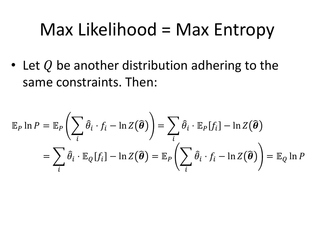#### Max Likelihood = Max Entropy

• Let  $Q$  be another distribution adhering to the same constraints. Then:

$$
\mathbb{E}_P \ln P = \mathbb{E}_P \left( \sum_i \hat{\theta}_i \cdot f_i - \ln Z(\hat{\boldsymbol{\theta}}) \right) = \sum_i \hat{\theta}_i \cdot \mathbb{E}_P[f_i] - \ln Z(\hat{\boldsymbol{\theta}})
$$

$$
= \sum_i \hat{\theta}_i \cdot \mathbb{E}_Q[f_i] - \ln Z(\hat{\boldsymbol{\theta}}) = \mathbb{E}_P \left( \sum_i \hat{\theta}_i \cdot f_i - \ln Z(\hat{\boldsymbol{\theta}}) \right) = \mathbb{E}_Q \ln P
$$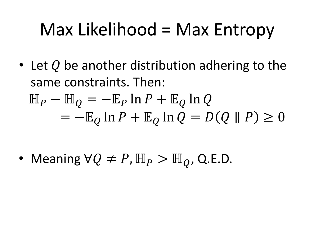# Max Likelihood = Max Entropy

• Let Q be another distribution adhering to the same constraints. Then:  $\mathbb{H}_P - \mathbb{H}_Q = -\mathbb{E}_P \ln P + \mathbb{E}_Q \ln Q$  $=-\mathbb{E}_{\mathcal{Q}}\ln P+\mathbb{E}_{\mathcal{Q}}\ln Q=D(Q\parallel P)\geq 0$ 

• Meaning  $\forall Q \neq P$ ,  $\mathbb{H}_P > \mathbb{H}_Q$ , Q.E.D.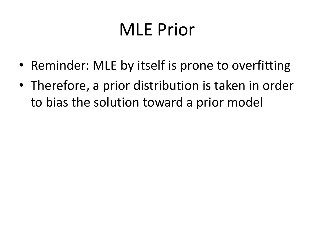- Reminder: MLE by itself is prone to overfitting
- Therefore, a prior distribution is taken in order to bias the solution toward a prior model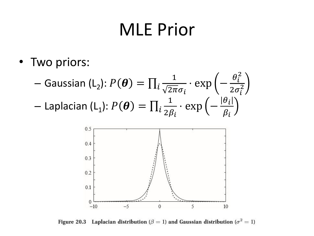• Two priors:

$$
- \text{ Gaussian (L}_2): P(\boldsymbol{\theta}) = \prod_i \frac{1}{\sqrt{2\pi}\sigma_i} \cdot \exp\left(-\frac{\theta_i^2}{2\sigma_i^2}\right)
$$

$$
- \text{ Laplacian (L}_1): P(\boldsymbol{\theta}) = \prod_i \frac{1}{2\beta_i} \cdot \exp\left(-\frac{|\theta_i|}{\beta_i}\right)
$$



Figure 20.3 Laplacian distribution ( $\beta = 1$ ) and Gaussian distribution ( $\sigma^2 = 1$ )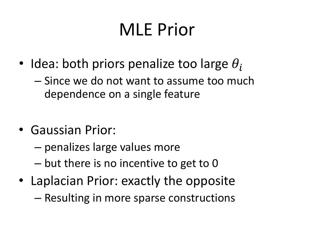- Idea: both priors penalize too large  $\theta_i$ 
	- Since we do not want to assume too much dependence on a single feature
- Gaussian Prior:
	- penalizes large values more
	- but there is no incentive to get to 0
- Laplacian Prior: exactly the opposite
	- Resulting in more sparse constructions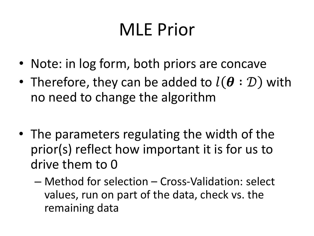- Note: in log form, both priors are concave
- Therefore, they can be added to  $l(\theta : \mathcal{D})$  with no need to change the algorithm
- The parameters regulating the width of the prior(s) reflect how important it is for us to drive them to 0
	- Method for selection Cross-Validation: select values, run on part of the data, check vs. the remaining data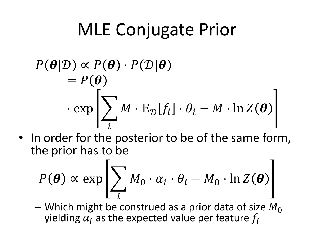# MLE Conjugate Prior

$$
P(\boldsymbol{\theta}|\mathcal{D}) \propto P(\boldsymbol{\theta}) \cdot P(\mathcal{D}|\boldsymbol{\theta})
$$
  
=  $P(\boldsymbol{\theta})$   
 $\cdot \exp \left[\sum_{i} M \cdot \mathbb{E}_{\mathcal{D}}[f_i] \cdot \theta_i - M \cdot \ln Z(\boldsymbol{\theta})\right]$ 

• In order for the posterior to be of the same form, the prior has to be

$$
P(\boldsymbol{\theta}) \propto \exp\left[\sum_{i} M_0 \cdot \alpha_i \cdot \theta_i - M_0 \cdot \ln Z(\boldsymbol{\theta})\right]
$$

– Which might be construed as a prior data of size  $M_0$ yielding  $\alpha_i$  as the expected value per feature  $f_i$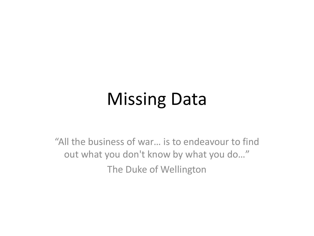# Missing Data

"All the business of war... is to endeavour to find out what you don't know by what you do..." The Duke of Wellington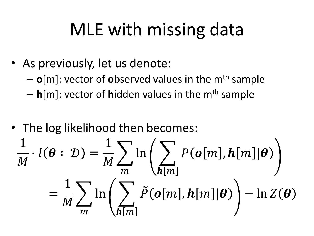# MLE with missing data

- As previously, let us denote:
	- $-$  **o**[m]: vector of **o**bserved values in the m<sup>th</sup> sample
	- $-$  **h**[m]: vector of **h**idden values in the m<sup>th</sup> sample
- The log likelihood then becomes:

$$
\frac{1}{M} \cdot l(\boldsymbol{\theta} : \mathcal{D}) = \frac{1}{M} \sum_{m} \ln \left( \sum_{h[m]} P(o[m], h[m] | \boldsymbol{\theta}) \right)
$$

$$
= \frac{1}{M} \sum_{m} \ln \left( \sum_{h[m]} \tilde{P}(o[m], h[m] | \boldsymbol{\theta}) \right) - \ln Z(\boldsymbol{\theta})
$$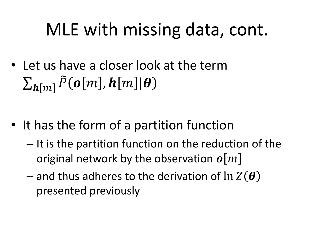# MLE with missing data, cont.

• Let us have a closer look at the term  $\sum_{\boldsymbol{h}[m]} \tilde{P}(\boldsymbol{o}[m], \boldsymbol{h}[m] | \boldsymbol{\theta})$ 

- It has the form of a partition function
	- It is the partition function on the reduction of the original network by the observation  $\boldsymbol{o}$ |*m*|
	- and thus adheres to the derivation of  $\ln Z(\theta)$ presented previously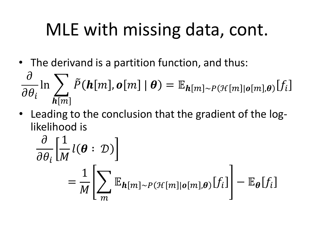# MLE with missing data, cont.

• The derivand is a partition function, and thus:

$$
\frac{\partial}{\partial \theta_i} \ln \sum_{\boldsymbol{h}[m]} \tilde{P}(\boldsymbol{h}[m], \boldsymbol{o}[m] \mid \boldsymbol{\theta}) = \mathbb{E}_{\boldsymbol{h}[m] \sim P(\mathcal{H}[m] \mid \boldsymbol{o}[m], \boldsymbol{\theta})} [f_i]
$$

• Leading to the conclusion that the gradient of the loglikelihood is

$$
\frac{\partial}{\partial \theta_i} \left[ \frac{1}{M} l(\boldsymbol{\theta} : \mathcal{D}) \right]
$$
  
= 
$$
\frac{1}{M} \left[ \sum_m \mathbb{E}_{\boldsymbol{h}[m] \sim P(\mathcal{H}[m] | \boldsymbol{o}[m], \boldsymbol{\theta})} [f_i] \right] - \mathbb{E}_{\boldsymbol{\theta}} [f_i]
$$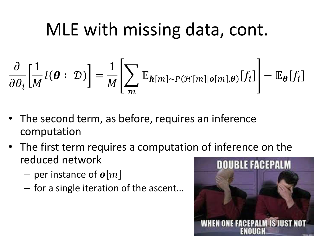# MLE with missing data, cont.

$$
\frac{\partial}{\partial \theta_i} \Big[ \frac{1}{M} l(\boldsymbol{\theta} : \mathcal{D}) \Big] = \frac{1}{M} \Bigg[ \sum_m \mathbb{E}_{\boldsymbol{h}[m] \sim P(\mathcal{H}[m] | \boldsymbol{\theta}[m], \boldsymbol{\theta})} [f_i] \Bigg] - \mathbb{E}_{\boldsymbol{\theta}} [f_i]
$$

- The second term, as before, requires an inference computation
- The first term requires a computation of inference on the reduced network
	- per instance of  $\boldsymbol{o}[m]$
	- $-$  for a single iteration of the ascent...

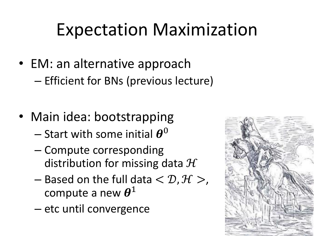# Expectation Maximization

- EM: an alternative approach – Efficient for BNs (previous lecture)
- Main idea: bootstrapping
	- Start with some initial  $\boldsymbol{\theta}^0$
	- Compute corresponding distribution for missing data  $H$
	- Based on the full data  $<$   $\mathcal{D}, \mathcal{H}$   $>$ , compute a new  $\boldsymbol{\theta}^1$
	- etc until convergence

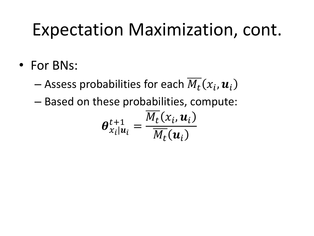# Expectation Maximization, cont.

• For BNs:

— Assess probabilities for each  $\overline{M_t}(x_i,\boldsymbol{u}_i)$ 

– Based on these probabilities, compute:

$$
\boldsymbol{\theta}_{x_i|u_i}^{t+1} = \frac{\overline{M_t}(x_i, u_i)}{\overline{M_t}(u_i)}
$$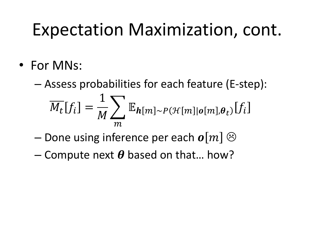# Expectation Maximization, cont.

• For MNs:

– Assess probabilities for each feature (E-step):  $M_t[f_i] =$  $\mathbf{1}$  $\boldsymbol{M}$  $\sum \frac{\mathbb{E}_{\boldsymbol{h}[m] \sim P(\mathcal{H}[m]| \boldsymbol{o}[m], \boldsymbol{\theta}_t)}[f_i]}{h_i}$  $m$ 

- Done using inference per each  $\boldsymbol{o}|m| \odot$
- Compute next  $\theta$  based on that... how?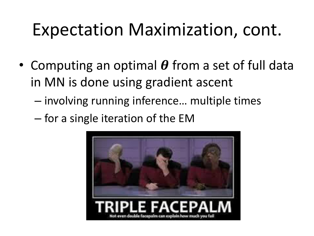# Expectation Maximization, cont.

- Computing an optimal  $\theta$  from a set of full data in MN is done using gradient ascent
	- $-$  involving running inference... multiple times
	- for a single iteration of the EM

![](_page_38_Picture_4.jpeg)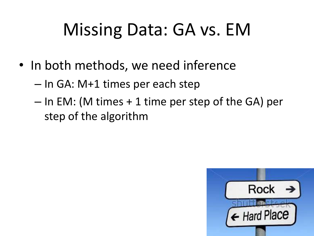# Missing Data: GA vs. EM

- In both methods, we need inference
	- In GA: M+1 times per each step
	- In EM: (M times + 1 time per step of the GA) per step of the algorithm

![](_page_39_Picture_4.jpeg)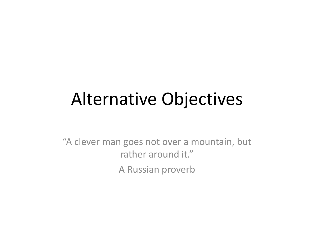# Alternative Objectives

"A clever man goes not over a mountain, but rather around it." A Russian proverb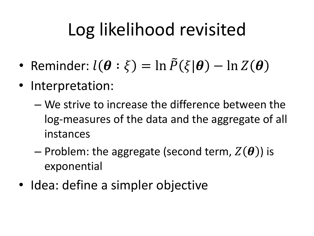# Log likelihood revisited

- Reminder:  $l(\boldsymbol{\theta} : \xi) = \ln \tilde{P}(\xi | \boldsymbol{\theta}) \ln Z(\boldsymbol{\theta})$
- Interpretation:
	- We strive to increase the difference between the log-measures of the data and the aggregate of all instances
	- Problem: the aggregate (second term,  $Z(\boldsymbol{\theta})$ ) is exponential
- Idea: define a simpler objective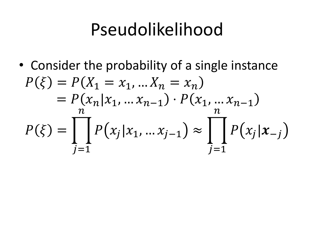• Consider the probability of a single instance  $P(\xi) = P(X_1 = x_1, ... X_n = x_n)$  $= P(x_n | x_1, ... x_{n-1}) \cdot P(x_1, ... x_{n-1})$  $P(\xi) = \int P(x_j | x_1, ... x_{j-1}) \approx \int P(x_j | x_{-j})$  $n_{\cdot}$  $i=1$  $\frac{n}{2}$  $i=1$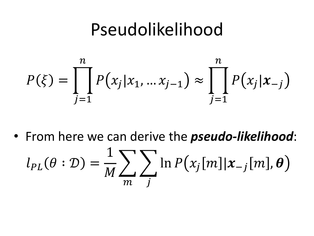![](_page_43_Figure_1.jpeg)

• From here we can derive the *pseudo-likelihood*:  $l_{PL}(\theta : \mathcal{D}) =$  $\mathbf{1}$  $\boldsymbol{M}$  $\sum_{j} \ln P(x_j[m] | x_{-j}[m], \boldsymbol{\theta})$  $m$  J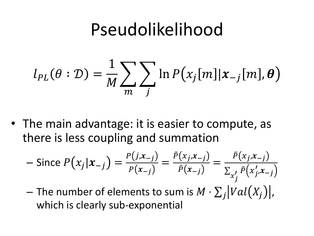$$
l_{PL}(\theta : \mathcal{D}) = \frac{1}{M} \sum_{m} \sum_{j} \ln P(x_j[m] | x_{-j}[m], \theta)
$$

• The main advantage: it is easier to compute, as there is less coupling and summation

$$
-\text{ Since } P(x_j | x_{-j}) = \frac{P(j, x_{-j})}{P(x_{-j})} = \frac{\tilde{P}(x_j, x_{-j})}{\tilde{P}(x_{-j})} = \frac{\tilde{P}(x_j, x_{-j})}{\sum_{x'_j} \tilde{P}(x'_j, x_{-j})}
$$

 $-$  The number of elements to sum is  $M \cdot \sum_j |Val(X_j)|$ , which is clearly sub-exponential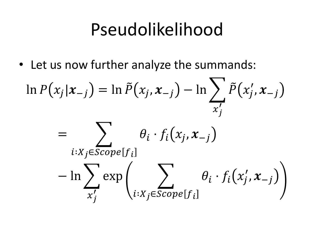• Let us now further analyze the summands:

$$
\ln P(x_j | x_{-j}) = \ln \tilde{P}(x_j, x_{-j}) - \ln \sum_{x'_j} \tilde{P}(x'_j, x_{-j})
$$

$$
= \sum_{i:X_j \in scope[f_i]} \theta_i \cdot f_i(x_j, x_{-j}) - \ln \sum_{x'_j} \exp \left( \sum_{i:X_j \in scope[f_i]} \theta_i \cdot f_i(x'_j, x_{-j}) \right)
$$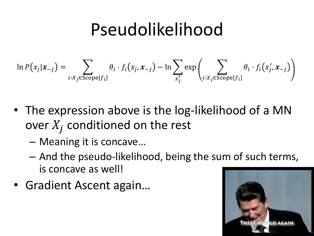$$
\ln P(x_j | x_{-j}) = \sum_{i:X_j \in \text{Scope}[f_i]} \theta_i \cdot f_i(x_j, x_{-j}) - \ln \sum_{x'_j} \exp \left( \sum_{i:X_j \in \text{Scope}[f_i]} \theta_i \cdot f_i(x'_j, x_{-j}) \right)
$$

- The expression above is the log-likelihood of a MN over  $X_j$  conditioned on the rest
	- $-$  Meaning it is concave...
	- And the pseudo-likelihood, being the sum of such terms, is concave as well!
- Gradient Ascent again...

![](_page_46_Picture_6.jpeg)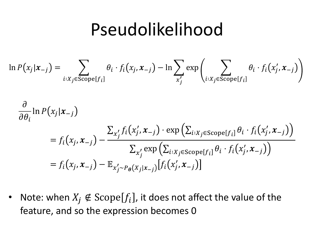$$
\ln P(x_j | x_{-j}) = \sum_{i:X_j \in \text{Scope}[f_i]} \theta_i \cdot f_i(x_j, x_{-j}) - \ln \sum_{x'_j} \exp \left( \sum_{i:X_j \in \text{Scope}[f_i]} \theta_i \cdot f_i(x'_j, x_{-j}) \right)
$$
  

$$
\frac{\partial}{\partial \theta_i} \ln P(x_j | x_{-j})
$$
  

$$
= f_i(x_j, x_{-j}) - \frac{\sum_{x'_j} f_i(x'_j, x_{-j}) \cdot \exp \left( \sum_{i:X_j \in \text{Scope}[f_i]} \theta_i \cdot f_i(x'_j, x_{-j}) \right)}{\sum_{x'_j} \exp \left( \sum_{i:X_j \in \text{Scope}[f_i]} \theta_i \cdot f_i(x'_j, x_{-j}) \right)}
$$
  

$$
= f_i(x_j, x_{-j}) - \mathbb{E}_{x'_j \sim P_{\theta}(X_j | x_{-j})} [f_i(x'_j, x_{-j})]
$$

• Note: when  $X_j \notin \text{Scope}[f_i]$ , it does not affect the value of the feature, and so the expression becomes 0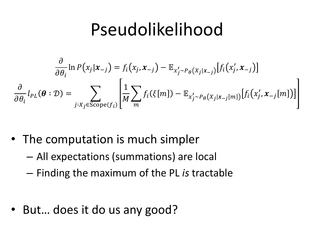$$
\frac{\partial}{\partial \theta_i} \ln P(x_j | x_{-j}) = f_i(x_j, x_{-j}) - \mathbb{E}_{x'_j \sim P_{\theta}(X_j | x_{-j})} [f_i(x'_j, x_{-j})]
$$
\n
$$
\frac{\partial}{\partial \theta_i} l_{PL}(\boldsymbol{\theta} : \mathcal{D}) = \sum_{j: X_j \in \text{Scope}(f_i)} \left[ \frac{1}{M} \sum_m f_i(\xi[m]) - \mathbb{E}_{x'_j \sim P_{\theta}(X_j | x_{-j}[m])} [f_i(x'_j, x_{-j}[m])] \right]
$$

- The computation is much simpler
	- All expectations (summations) are local
	- Finding the maximum of the PL *is* tractable
- But... does it do us any good?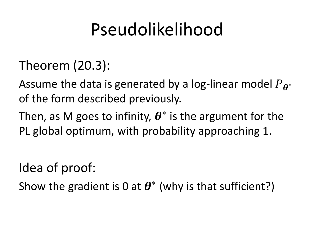- Theorem (20.3):
- Assume the data is generated by a log-linear model  $P_{\boldsymbol{\theta}}$ ∗ of the form described previously.
- Then, as M goes to infinity,  $\boldsymbol{\theta}^*$  is the argument for the PL global optimum, with probability approaching 1.
- Idea of proof:
- Show the gradient is 0 at  $\boldsymbol{\theta}^*$  (why is that sufficient?)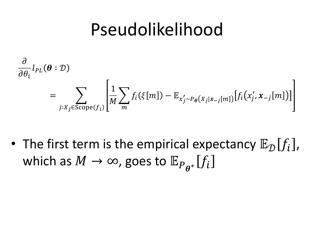$$
\frac{\partial}{\partial \theta_i} l_{PL}(\boldsymbol{\theta} : \mathcal{D})
$$
\n
$$
= \sum_{j:X_j \in \text{Scope}(f_i)} \left[ \frac{1}{M} \sum_m f_i(\xi[m]) - \mathbb{E}_{x'_j \sim P_{\boldsymbol{\theta}}(X_j | x_{-j}[m])} [f_i(x'_j, x_{-j}[m])] \right]
$$

• The first term is the empirical expectancy  $\mathbb{E}_{\mathcal{D}}[f_i]$ , which as  $M\to\infty$ , goes to  $\mathbb{E}_{P_{\boldsymbol{\theta}^*}}[f_i]$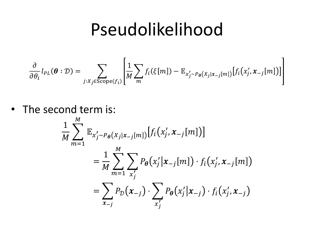$$
\frac{\partial}{\partial \theta_i} l_{PL}(\boldsymbol{\theta} : \mathcal{D}) = \sum_{j:X_j \in \text{Scope}(f_i)} \left[ \frac{1}{M} \sum_m f_i(\xi[m]) - \mathbb{E}_{x'_j \sim P_{\boldsymbol{\theta}}(X_j | x_{-j}[m])} [f_i(x'_j, x_{-j}[m])] \right]
$$

• The second term is:

$$
\frac{1}{M} \sum_{m=1}^{M} \mathbb{E}_{x'_{j} \sim P_{\theta}(X_{j}|x_{-j}[m])} [f_{i}(x'_{j}, x_{-j}[m])]
$$
\n
$$
= \frac{1}{M} \sum_{m=1}^{M} \sum_{x'_{j}} P_{\theta}(x'_{j}|x_{-j}[m]) \cdot f_{i}(x'_{j}, x_{-j}[m])
$$
\n
$$
= \sum_{x_{-j}} P_{\mathcal{D}}(x_{-j}) \cdot \sum_{x'_{j}} P_{\theta}(x'_{j}|x_{-j}) \cdot f_{i}(x'_{j}, x_{-j})
$$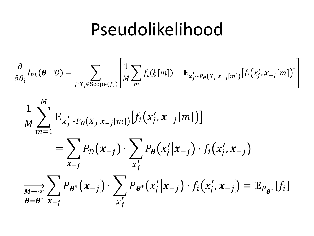$$
\frac{\partial}{\partial \theta_i} l_{PL}(\boldsymbol{\theta} : \mathcal{D}) = \sum_{j:X_j \in \text{Scope}(f_i)} \left[ \frac{1}{M} \sum_m f_i(\xi[m]) - \mathbb{E}_{x'_j \sim P_{\boldsymbol{\theta}}(X_j | x_{-j}[m])} [f_i(x'_j, x_{-j}[m])] \right]
$$

$$
\frac{1}{M} \sum_{m=1}^{M} \mathbb{E}_{x'_j \sim P_{\theta}(X_j | x_{-j}[m])} [f_i(x'_j, x_{-j}[m])]
$$
\n
$$
= \sum_{x_{-j}} P_{\mathcal{D}}(x_{-j}) \cdot \sum_{x'_j} P_{\theta}(x'_j | x_{-j}) \cdot f_i(x'_j, x_{-j})
$$
\n
$$
\sum_{\theta = \theta^*} \sum_{x_{-j}} P_{\theta^*}(x_{-j}) \cdot \sum_{x'_j} P_{\theta^*}(x'_j | x_{-j}) \cdot f_i(x'_j, x_{-j}) = \mathbb{E}_{P_{\theta^*}} [f_i]
$$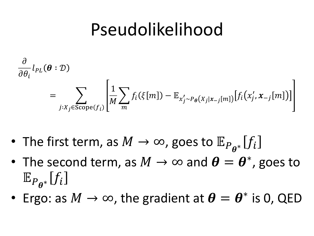$$
\frac{\partial}{\partial \theta_i} l_{PL}(\boldsymbol{\theta} : \mathcal{D})
$$
\n
$$
= \sum_{j:X_j \in \text{Scope}(f_i)} \left[ \frac{1}{M} \sum_m f_i(\xi[m]) - \mathbb{E}_{x'_j \sim P_{\boldsymbol{\theta}}(X_j | x_{-j}[m])} [f_i(x'_j, x_{-j}[m])] \right]
$$

- The first term, as  $M\to\infty$ , goes to  $\mathbb{E}_{P_{\boldsymbol{\theta}^*}}[f_i]$
- The second term, as  $M \to \infty$  and  $\theta = \theta^*$ , goes to  $\mathbb{E}_{P_{\boldsymbol{\theta}^*}}[f_i]$
- Ergo: as  $M \to \infty$ , the gradient at  $\boldsymbol{\theta} = \boldsymbol{\theta}^*$  is 0, QED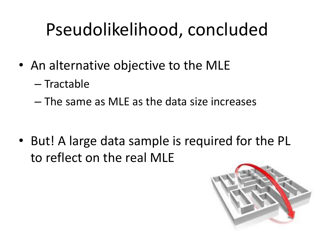# Pseudolikelihood, concluded

- An alternative objective to the MLE
	- Tractable
	- The same as MLE as the data size increases

• But! A large data sample is required for the PL to reflect on the real MLE

![](_page_54_Picture_5.jpeg)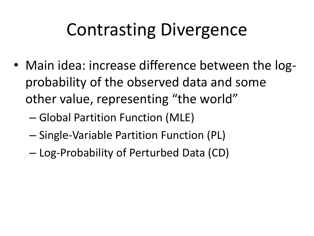- Main idea: increase difference between the logprobability of the observed data and some other value, representing "the world"
	- Global Partition Function (MLE)
	- Single-Variable Partition Function (PL)
	- Log-Probability of Perturbed Data (CD)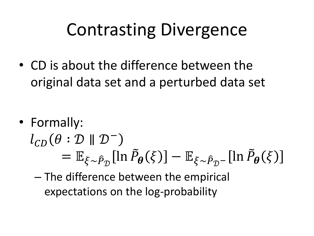• CD is about the difference between the original data set and a perturbed data set

• Formally:

# $l_{CD}(\theta : \mathcal{D} \parallel \mathcal{D}^{-})$  $= \mathbb{E}_{\xi \sim \hat{P}_{\mathcal{D}}}[\ln \hat{P}_{\theta}(\xi)] - \mathbb{E}_{\xi \sim \hat{P}_{\mathcal{D}}-}[\ln \hat{P}_{\theta}(\xi)]$

– The difference between the empirical expectations on the log-probability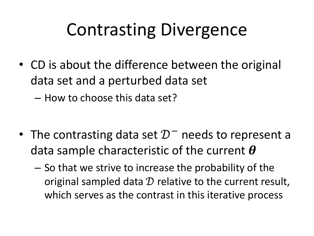• CD is about the difference between the original data set and a perturbed data set

– How to choose this data set?

- The contrasting data set  $\mathcal{D}^-$  needs to represent a data sample characteristic of the current  $\boldsymbol{\theta}$ 
	- So that we strive to increase the probability of the original sampled data  $D$  relative to the current result, which serves as the contrast in this iterative process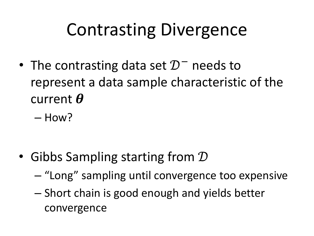- The contrasting data set  $\mathcal{D}^-$  needs to represent a data sample characteristic of the current  $\boldsymbol{\theta}$ 
	- How?

- Gibbs Sampling starting from  $\mathcal D$ 
	- $-$  "Long" sampling until convergence too expensive
	- Short chain is good enough and yields better convergence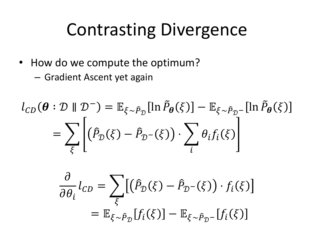- How do we compute the optimum?
	- Gradient Ascent yet again

$$
l_{CD}(\boldsymbol{\theta} : \mathcal{D} \parallel \mathcal{D}^{-}) = \mathbb{E}_{\xi \sim \hat{P}_{\mathcal{D}}}[\ln \tilde{P}_{\boldsymbol{\theta}}(\xi)] - \mathbb{E}_{\xi \sim \hat{P}_{\mathcal{D}}^{-}}[\ln \tilde{P}_{\boldsymbol{\theta}}(\xi)]
$$

$$
= \sum_{\xi} \left[ (\hat{P}_{\mathcal{D}}(\xi) - \hat{P}_{\mathcal{D}^{-}}(\xi)) \cdot \sum_{i} \theta_{i} f_{i}(\xi) \right]
$$

$$
\frac{\partial}{\partial \theta_i} l_{CD} = \sum_{\xi} \left[ \left( \hat{P}_{\mathcal{D}}(\xi) - \hat{P}_{\mathcal{D}^{-}}(\xi) \right) \cdot f_i(\xi) \right]
$$

$$
= \mathbb{E}_{\xi \sim \hat{P}_{\mathcal{D}}} [f_i(\xi)] - \mathbb{E}_{\xi \sim \hat{P}_{\mathcal{D}^{-}}}[f_i(\xi)]
$$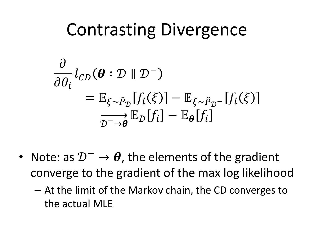$$
\frac{\partial}{\partial \theta_i} l_{CD}(\boldsymbol{\theta} : \mathcal{D} \parallel \mathcal{D}^-)
$$
\n
$$
= \mathbb{E}_{\xi \sim \hat{P}_{\mathcal{D}}} [f_i(\xi)] - \mathbb{E}_{\xi \sim \hat{P}_{\mathcal{D}}^-} [f_i(\xi)]
$$
\n
$$
\xrightarrow[\mathcal{D}^- \to \boldsymbol{\theta}]{\mathbb{E}_{\mathcal{D}} [f_i] - \mathbb{E}_{\boldsymbol{\theta}} [f_i]}
$$

- Note: as  $\mathcal{D}^- \rightarrow \theta$ , the elements of the gradient converge to the gradient of the max log likelihood
	- At the limit of the Markov chain, the CD converges to the actual MLE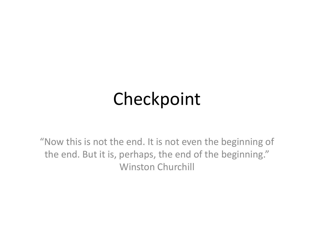# Checkpoint

"Now this is not the end. It is not even the beginning of the end. But it is, perhaps, the end of the beginning." Winston Churchill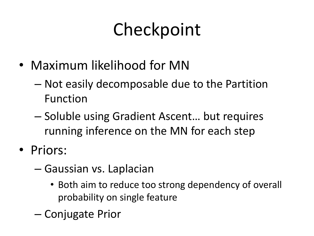# Checkpoint

- Maximum likelihood for MN
	- Not easily decomposable due to the Partition Function
	- Soluble using Gradient Ascent... but requires running inference on the MN for each step
- Priors:
	- Gaussian vs. Laplacian
		- Both aim to reduce too strong dependency of overall probability on single feature
	- Conjugate Prior